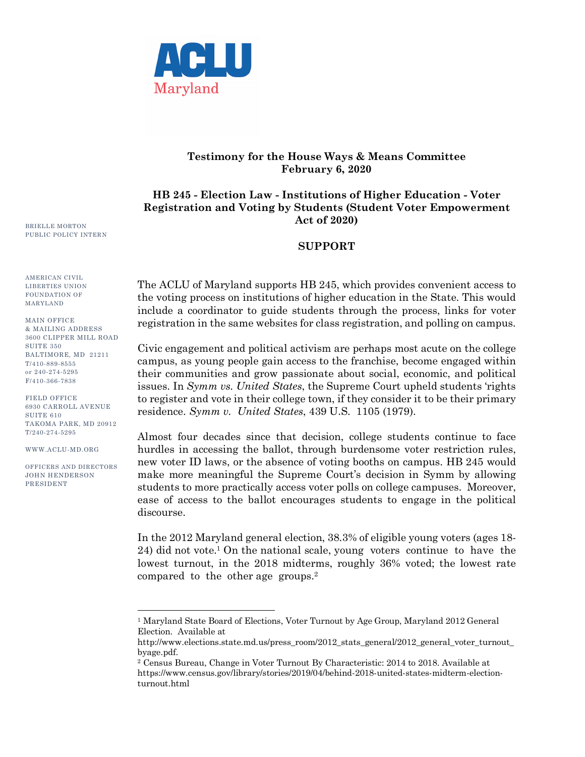

## **Testimony for the House Ways & Means Committee February 6, 2020**

## **HB 245 - Election Law - Institutions of Higher Education - Voter Registration and Voting by Students (Student Voter Empowerment Act of 2020)**

## **SUPPORT**

The ACLU of Maryland supports HB 245, which provides convenient access to the voting process on institutions of higher education in the State. This would include a coordinator to guide students through the process, links for voter registration in the same websites for class registration, and polling on campus.

Civic engagement and political activism are perhaps most acute on the college campus, as young people gain access to the franchise, become engaged within their communities and grow passionate about social, economic, and political issues. In *Symm vs. United States*, the Supreme Court upheld students 'rights to register and vote in their college town, if they consider it to be their primary residence. *Symm v. United States*, 439 U.S. 1105 (1979).

Almost four decades since that decision, college students continue to face hurdles in accessing the ballot, through burdensome voter restriction rules, new voter ID laws, or the absence of voting booths on campus. HB 245 would make more meaningful the Supreme Court's decision in Symm by allowing students to more practically access voter polls on college campuses. Moreover, ease of access to the ballot encourages students to engage in the political discourse.

In the 2012 Maryland general election, 38.3% of eligible young voters (ages 18- 24) did not vote.<sup>1</sup> On the national scale, young voters continue to have the lowest turnout, in the 2018 midterms, roughly 36% voted; the lowest rate compared to the other age groups.2

BRIELLE MORTON PUBLIC POLICY INTERN

AMERICAN CIVIL LIBERTIES UNION FOUNDATION OF MARYLAND

MAIN OFFICE & MAILING ADDRESS 3600 CLIPPER MILL ROAD SHITE 350 BALTIMORE, MD 21211 T/410-889-8555 or 240-274-5295 F/410-366-7838

FIELD OFFICE 6930 CARROLL AVENUE SHITE 610 TAKOMA PARK, MD 20912 T/240-274-5295

WWW.ACLU-MD.ORG

OFFICERS AND DIRECTORS JOHN HENDERSON PRESIDENT

 $\overline{a}$ 

<sup>&</sup>lt;sup>1</sup> Maryland State Board of Elections, Voter Turnout by Age Group, Maryland 2012 General Election. Available at

http://www.elections.state.md.us/press\_room/2012\_stats\_general/2012\_general\_voter\_turnout\_ byage.pdf.

<sup>2</sup> Census Bureau, Change in Voter Turnout By Characteristic: 2014 to 2018. Available at https://www.census.gov/library/stories/2019/04/behind-2018-united-states-midterm-electionturnout.html